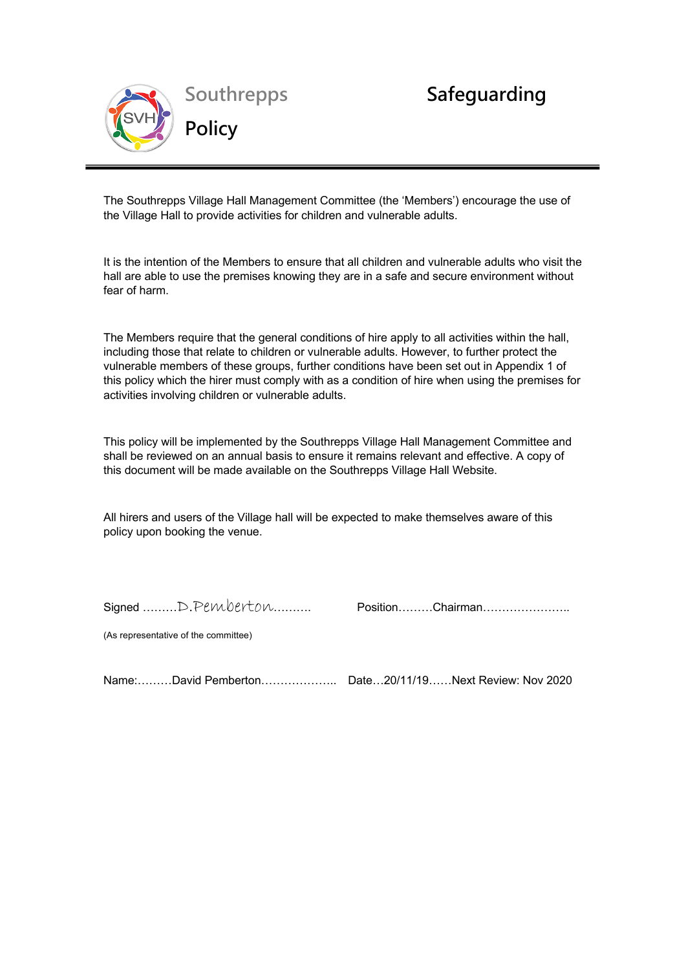

The Southrepps Village Hall Management Committee (the 'Members') encourage the use of The Southrepps Village Hall Management Committee (the 'Members')<br>the Village Hall to provide activities for children and vulnerable adults.

**Village Hall Children and Vulnerable** 

It is the intention of the Members to ensure that all children and vulnerable adults who visit the hall are able to use the premises knowing they are in a safe and secure environment without fear of harm.

The Members require that the general conditions of hire apply to all activities within the hall, including those that relate to children or vulnerable adults. However, to further protect the vulnerable members of these groups, further conditions have been set out in Appendix 1 of this policy which the hirer must comply with as a condition of hire when using the premises for activities involving children or vulnerable adults.

This policy will be implemented by the Southrepps Village Hall Management Committee and shall be reviewed on an annual basis to ensure it remains relevant and effective. A copy of this document will be made available on the Southrepps Village Hall Website.

All hirers and users of the Village hall will be expected to make themselves aware of this policy upon booking the venue.

Signed ………D.Pemberton………. Position………Chairman…………………..

(As representative of the committee)

Name:………David Pemberton……………….. Date…20/11/19……Next Review: Nov 2020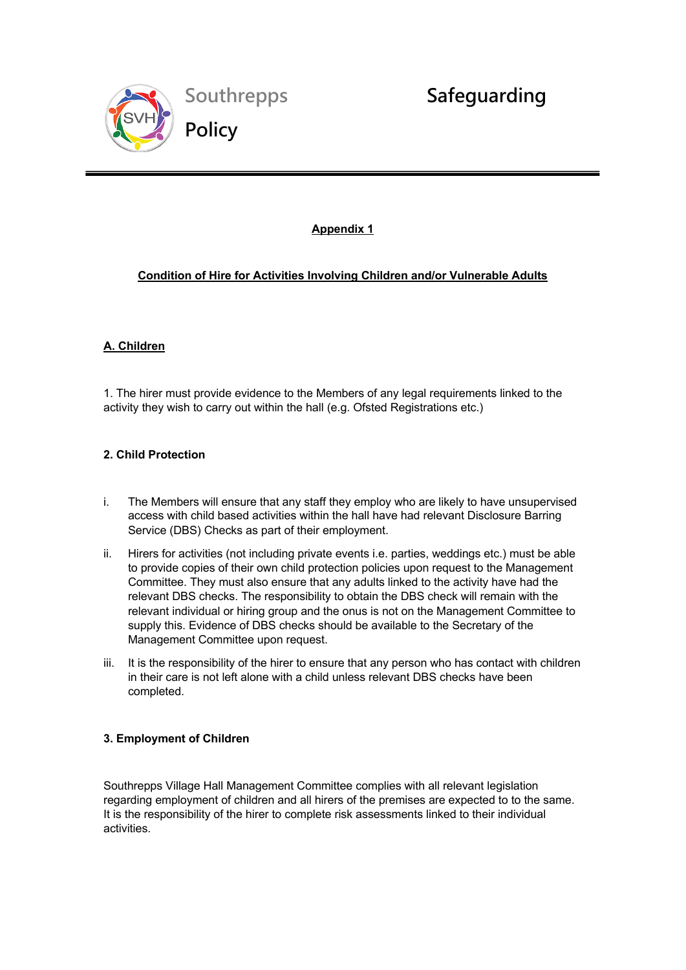

## **Appendix 1**

**Village Hall Children and Vulnerable** 

# **Condition of Hire for Activities Involving Children and/or Vulnerable Adults**

# **A. Children**

 $\overline{a}$ 

1. The hirer must provide evidence to the Members of any legal requirements linked to the activity they wish to carry out within the hall (e.g. Ofsted Registrations etc.)

## **2. Child Protection**

- i. The Members will ensure that any staff they employ who are likely to have unsupervised access with child based activities within the hall have had relevant Disclosure Barring Service (DBS) Checks as part of their employment.
- ii. Hirers for activities (not including private events i.e. parties, weddings etc.) must be able to provide copies of their own child protection policies upon request to the Management Committee. They must also ensure that any adults linked to the activity have had the relevant DBS checks. The responsibility to obtain the DBS check will remain with the relevant individual or hiring group and the onus is not on the Management Committee to supply this. Evidence of DBS checks should be available to the Secretary of the Management Committee upon request.
- iii. It is the responsibility of the hirer to ensure that any person who has contact with children in their care is not left alone with a child unless relevant DBS checks have been completed.

## **3. Employment of Children**

Southrepps Village Hall Management Committee complies with all relevant legislation regarding employment of children and all hirers of the premises are expected to to the same. It is the responsibility of the hirer to complete risk assessments linked to their individual activities.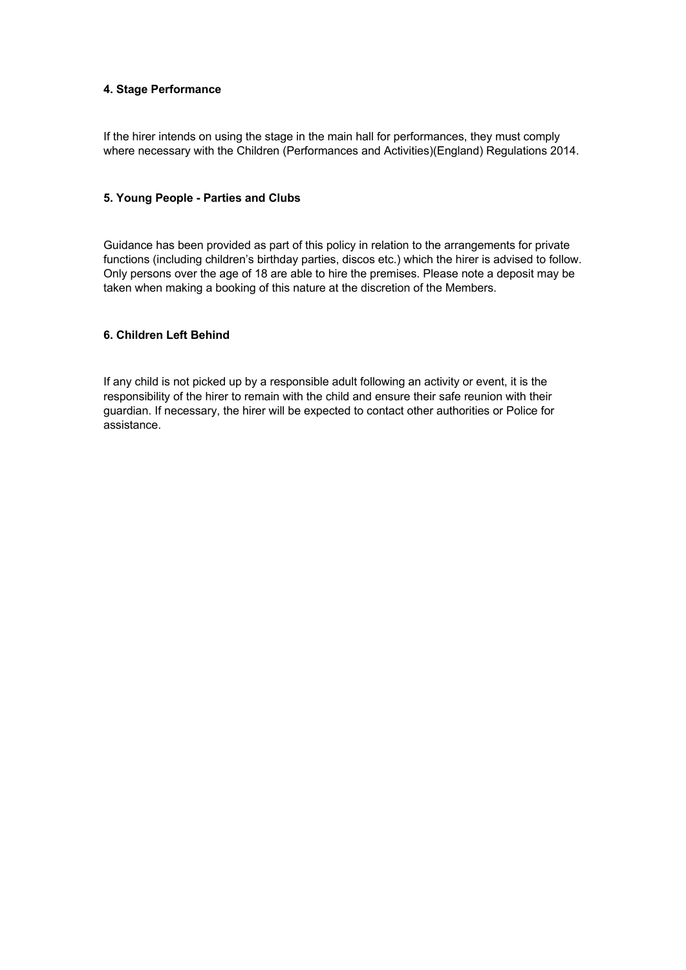#### **4. Stage Performance**

If the hirer intends on using the stage in the main hall for performances, they must comply where necessary with the Children (Performances and Activities)(England) Regulations 2014.

#### **5. Young People - Parties and Clubs**

Guidance has been provided as part of this policy in relation to the arrangements for private functions (including children's birthday parties, discos etc.) which the hirer is advised to follow. Only persons over the age of 18 are able to hire the premises. Please note a deposit may be taken when making a booking of this nature at the discretion of the Members.

#### **6. Children Left Behind**

If any child is not picked up by a responsible adult following an activity or event, it is the responsibility of the hirer to remain with the child and ensure their safe reunion with their guardian. If necessary, the hirer will be expected to contact other authorities or Police for assistance.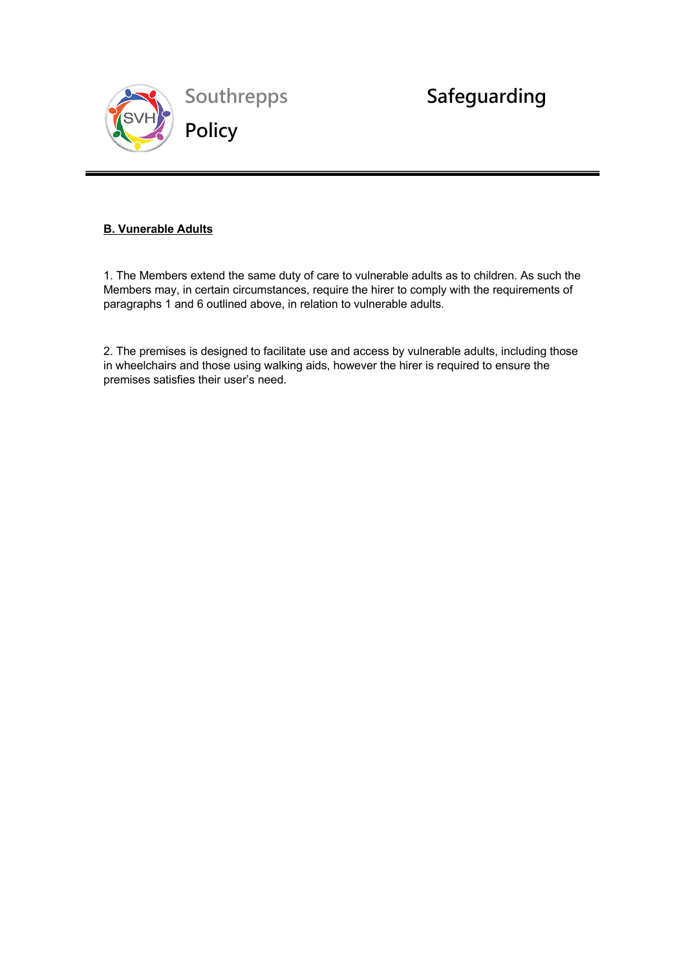

# **B. Vunerable Adults**

 $\overline{a}$ 

1. The Members extend the same duty of care to vulnerable adults as to children. As such the Members may, in certain circumstances, require the hirer to comply with the requirements of paragraphs 1 and 6 outlined above, in relation to vulnerable adults.

**Village Hall Children and Vulnerable** 

2. The premises is designed to facilitate use and access by vulnerable adults, including those in wheelchairs and those using walking aids, however the hirer is required to ensure the premises satisfies their user's need.